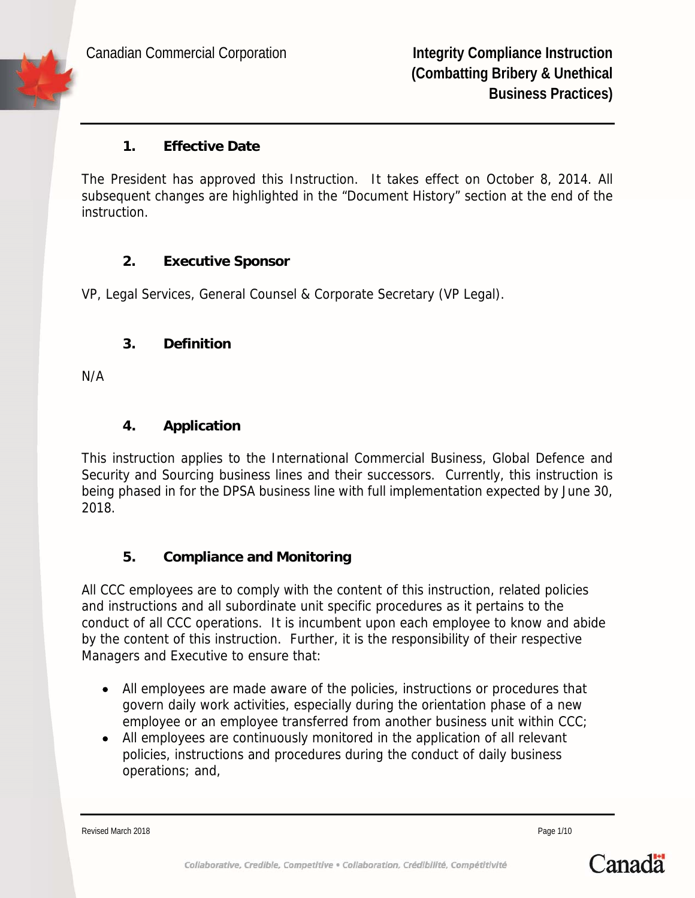

#### **1. Effective Date**

The President has approved this Instruction. It takes effect on October 8, 2014. All subsequent changes are highlighted in the "Document History" section at the end of the instruction.

# **2. Executive Sponsor**

VP, Legal Services, General Counsel & Corporate Secretary (VP Legal).

#### **3. Definition**

N/A

# **4. Application**

This instruction applies to the International Commercial Business, Global Defence and Security and Sourcing business lines and their successors. Currently, this instruction is being phased in for the DPSA business line with full implementation expected by June 30, 2018.

# **5. Compliance and Monitoring**

All CCC employees are to comply with the content of this instruction, related policies and instructions and all subordinate unit specific procedures as it pertains to the conduct of all CCC operations. It is incumbent upon each employee to know and abide by the content of this instruction. Further, it is the responsibility of their respective Managers and Executive to ensure that:

- All employees are made aware of the policies, instructions or procedures that govern daily work activities, especially during the orientation phase of a new employee or an employee transferred from another business unit within CCC;
- All employees are continuously monitored in the application of all relevant policies, instructions and procedures during the conduct of daily business operations; and,

Revised March 2018 **Page 1/10** 

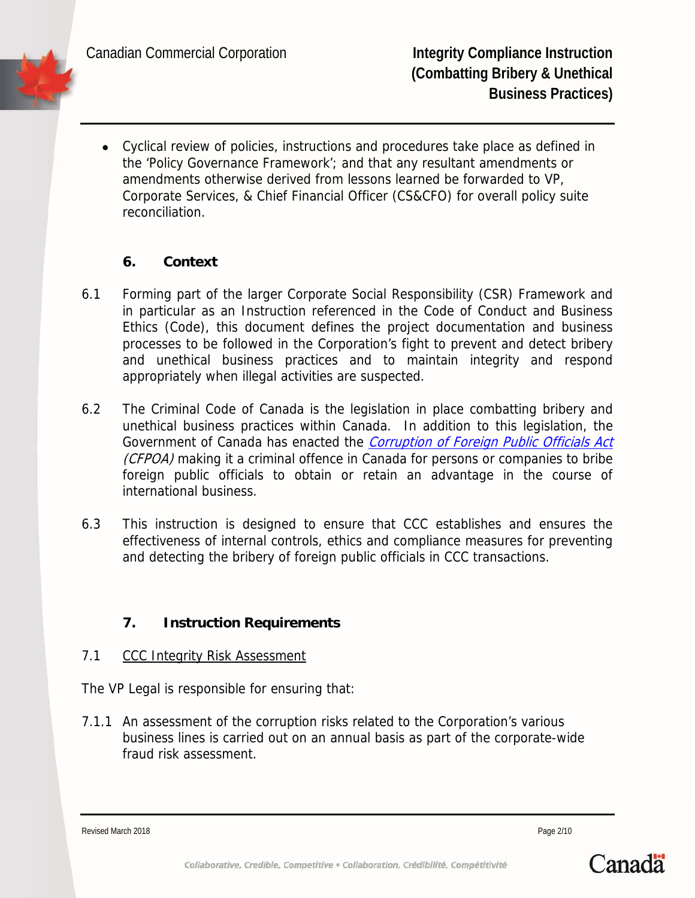Canadian Commercial Corporation **Integrity Compliance Instruction** 

 Cyclical review of policies, instructions and procedures take place as defined in the 'Policy Governance Framework'; and that any resultant amendments or amendments otherwise derived from lessons learned be forwarded to VP, Corporate Services, & Chief Financial Officer (CS&CFO) for overall policy suite reconciliation.

# **6. Context**

- 6.1 Forming part of the larger Corporate Social Responsibility (CSR) Framework and in particular as an Instruction referenced in the Code of Conduct and Business Ethics (Code), this document defines the project documentation and business processes to be followed in the Corporation's fight to prevent and detect bribery and unethical business practices and to maintain integrity and respond appropriately when illegal activities are suspected.
- 6.2 The Criminal Code of Canada is the legislation in place combatting bribery and unethical business practices within Canada. In addition to this legislation, the Government of Canada has enacted the Corruption of Foreign Public Officials Act (CFPOA) making it a criminal offence in Canada for persons or companies to bribe foreign public officials to obtain or retain an advantage in the course of international business.
- 6.3 This instruction is designed to ensure that CCC establishes and ensures the effectiveness of internal controls, ethics and compliance measures for preventing and detecting the bribery of foreign public officials in CCC transactions.

# **7. Instruction Requirements**

7.1 CCC Integrity Risk Assessment

The VP Legal is responsible for ensuring that:

7.1.1 An assessment of the corruption risks related to the Corporation's various business lines is carried out on an annual basis as part of the corporate-wide fraud risk assessment.

Revised March 2018 **Page 2/10 Page 2/10** 

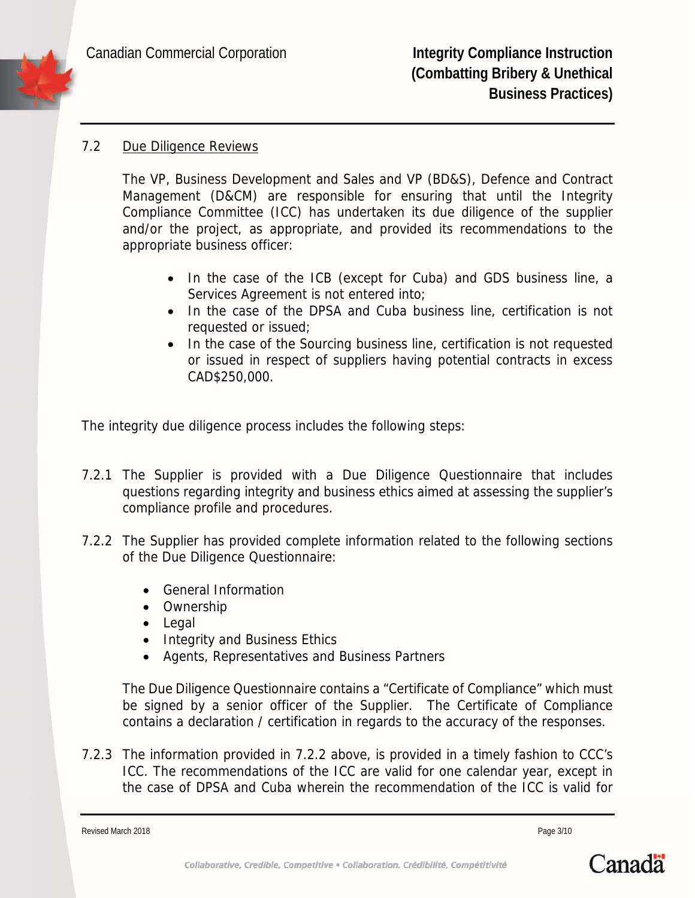#### 7.2 Due Diligence Reviews

The VP, Business Development and Sales and VP (BD&S), Defence and Contract Management (D&CM) are responsible for ensuring that until the Integrity Compliance Committee (ICC) has undertaken its due diligence of the supplier and/or the project, as appropriate, and provided its recommendations to the appropriate business officer:

- In the case of the ICB (except for Cuba) and GDS business line, a Services Agreement is not entered into;
- In the case of the DPSA and Cuba business line, certification is not requested or issued;
- In the case of the Sourcing business line, certification is not requested or issued in respect of suppliers having potential contracts in excess CAD\$250,000.

The integrity due diligence process includes the following steps:

- 7.2.1 The Supplier is provided with a Due Diligence Questionnaire that includes questions regarding integrity and business ethics aimed at assessing the supplier's compliance profile and procedures.
- 7.2.2 The Supplier has provided complete information related to the following sections of the Due Diligence Questionnaire:
	- General Information
	- Ownership
	- Legal
	- Integrity and Business Ethics
	- Agents, Representatives and Business Partners

The Due Diligence Questionnaire contains a "Certificate of Compliance" which must be signed by a senior officer of the Supplier. The Certificate of Compliance contains a declaration / certification in regards to the accuracy of the responses.

7.2.3 The information provided in 7.2.2 above, is provided in a timely fashion to CCC's ICC. The recommendations of the ICC are valid for one calendar year, except in the case of DPSA and Cuba wherein the recommendation of the ICC is valid for

Revised March 2018 **Page 3/10** 

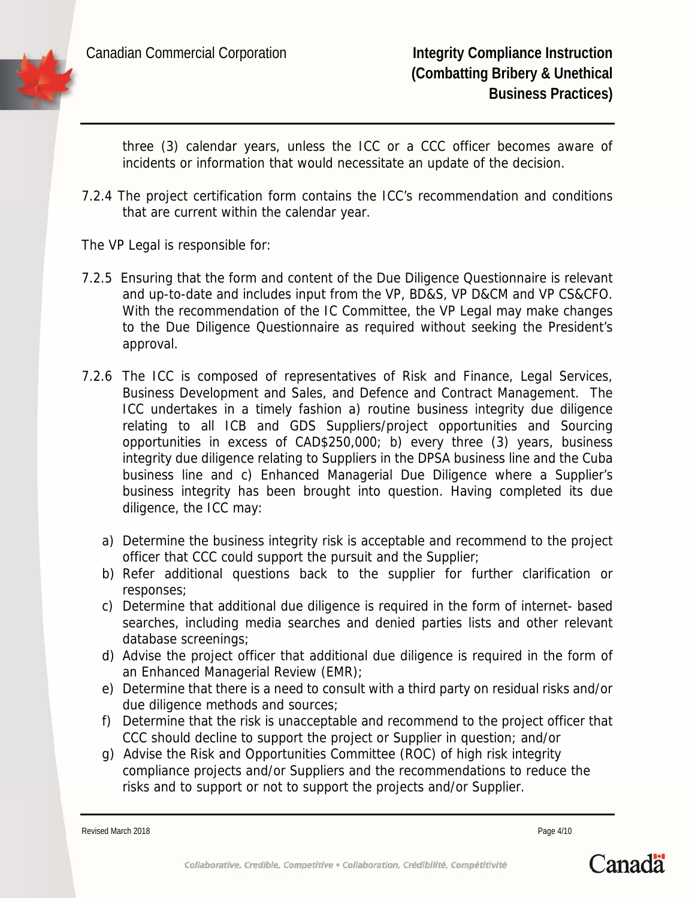

three (3) calendar years, unless the ICC or a CCC officer becomes aware of incidents or information that would necessitate an update of the decision.

- 7.2.4 The project certification form contains the ICC's recommendation and conditions that are current within the calendar year.
- The VP Legal is responsible for:
- 7.2.5 Ensuring that the form and content of the Due Diligence Questionnaire is relevant and up-to-date and includes input from the VP, BD&S, VP D&CM and VP CS&CFO. With the recommendation of the IC Committee, the VP Legal may make changes to the Due Diligence Questionnaire as required without seeking the President's approval.
- 7.2.6 The ICC is composed of representatives of Risk and Finance, Legal Services, Business Development and Sales, and Defence and Contract Management. The ICC undertakes in a timely fashion a) routine business integrity due diligence relating to all ICB and GDS Suppliers/project opportunities and Sourcing opportunities in excess of CAD\$250,000; b) every three (3) years, business integrity due diligence relating to Suppliers in the DPSA business line and the Cuba business line and c) Enhanced Managerial Due Diligence where a Supplier's business integrity has been brought into question. Having completed its due diligence, the ICC may:
	- a) Determine the business integrity risk is acceptable and recommend to the project officer that CCC could support the pursuit and the Supplier;
	- b) Refer additional questions back to the supplier for further clarification or responses;
	- c) Determine that additional due diligence is required in the form of internet- based searches, including media searches and denied parties lists and other relevant database screenings;
	- d) Advise the project officer that additional due diligence is required in the form of an Enhanced Managerial Review (EMR);
	- e) Determine that there is a need to consult with a third party on residual risks and/or due diligence methods and sources;
	- f) Determine that the risk is unacceptable and recommend to the project officer that CCC should decline to support the project or Supplier in question; and/or
	- g) Advise the Risk and Opportunities Committee (ROC) of high risk integrity compliance projects and/or Suppliers and the recommendations to reduce the risks and to support or not to support the projects and/or Supplier.

Revised March 2018 **Page 4/10** Page 4/10

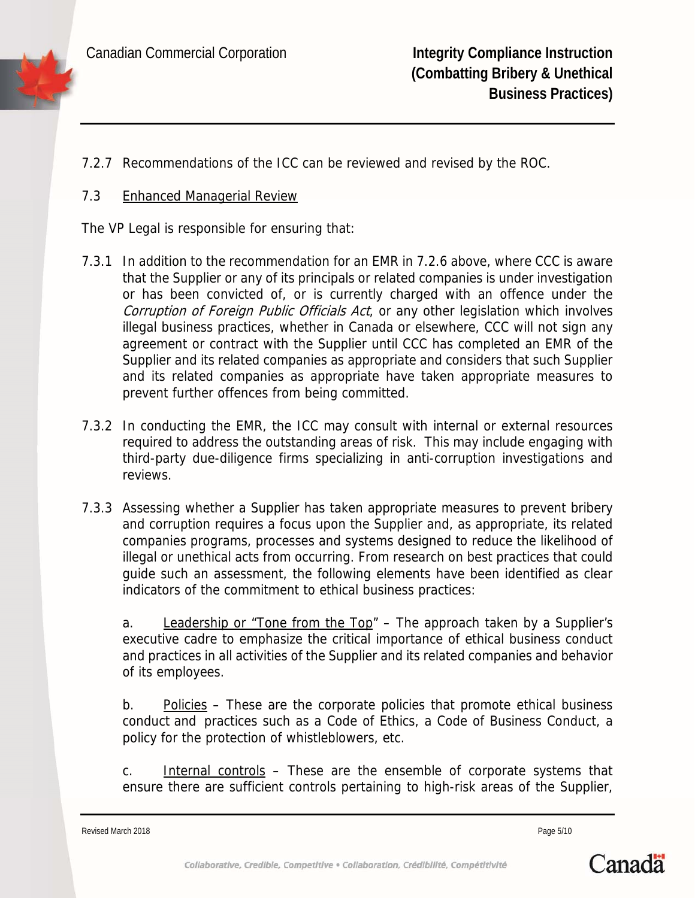7.2.7 Recommendations of the ICC can be reviewed and revised by the ROC.

### 7.3 Enhanced Managerial Review

The VP Legal is responsible for ensuring that:

- 7.3.1 In addition to the recommendation for an EMR in 7.2.6 above, where CCC is aware that the Supplier or any of its principals or related companies is under investigation or has been convicted of, or is currently charged with an offence under the Corruption of Foreign Public Officials Act, or any other legislation which involves illegal business practices, whether in Canada or elsewhere, CCC will not sign any agreement or contract with the Supplier until CCC has completed an EMR of the Supplier and its related companies as appropriate and considers that such Supplier and its related companies as appropriate have taken appropriate measures to prevent further offences from being committed.
- 7.3.2 In conducting the EMR, the ICC may consult with internal or external resources required to address the outstanding areas of risk. This may include engaging with third-party due-diligence firms specializing in anti-corruption investigations and reviews.
- 7.3.3 Assessing whether a Supplier has taken appropriate measures to prevent bribery and corruption requires a focus upon the Supplier and, as appropriate, its related companies programs, processes and systems designed to reduce the likelihood of illegal or unethical acts from occurring. From research on best practices that could guide such an assessment, the following elements have been identified as clear indicators of the commitment to ethical business practices:

a. Leadership or "Tone from the Top" – The approach taken by a Supplier's executive cadre to emphasize the critical importance of ethical business conduct and practices in all activities of the Supplier and its related companies and behavior of its employees.

b. Policies – These are the corporate policies that promote ethical business conduct and practices such as a Code of Ethics, a Code of Business Conduct, a policy for the protection of whistleblowers, etc.

c. Internal controls – These are the ensemble of corporate systems that ensure there are sufficient controls pertaining to high-risk areas of the Supplier,

Revised March 2018 **Page 5/10** Page 5/10

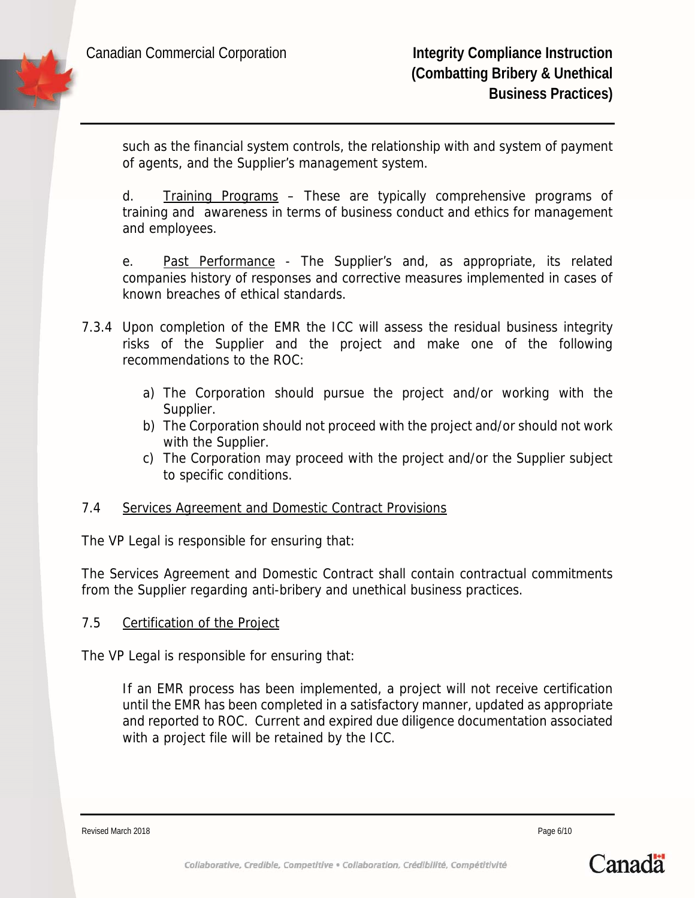such as the financial system controls, the relationship with and system of payment of agents, and the Supplier's management system.

d. Training Programs – These are typically comprehensive programs of training and awareness in terms of business conduct and ethics for management and employees.

e. Past Performance - The Supplier's and, as appropriate, its related companies history of responses and corrective measures implemented in cases of known breaches of ethical standards.

- 7.3.4 Upon completion of the EMR the ICC will assess the residual business integrity risks of the Supplier and the project and make one of the following recommendations to the ROC:
	- a) The Corporation should pursue the project and/or working with the Supplier.
	- b) The Corporation should not proceed with the project and/or should not work with the Supplier.
	- c) The Corporation may proceed with the project and/or the Supplier subject to specific conditions.

# 7.4 Services Agreement and Domestic Contract Provisions

The VP Legal is responsible for ensuring that:

The Services Agreement and Domestic Contract shall contain contractual commitments from the Supplier regarding anti-bribery and unethical business practices.

#### 7.5 Certification of the Project

The VP Legal is responsible for ensuring that:

If an EMR process has been implemented, a project will not receive certification until the EMR has been completed in a satisfactory manner, updated as appropriate and reported to ROC. Current and expired due diligence documentation associated with a project file will be retained by the ICC.

Revised March 2018 **Page 6/10 Page 6/10** 

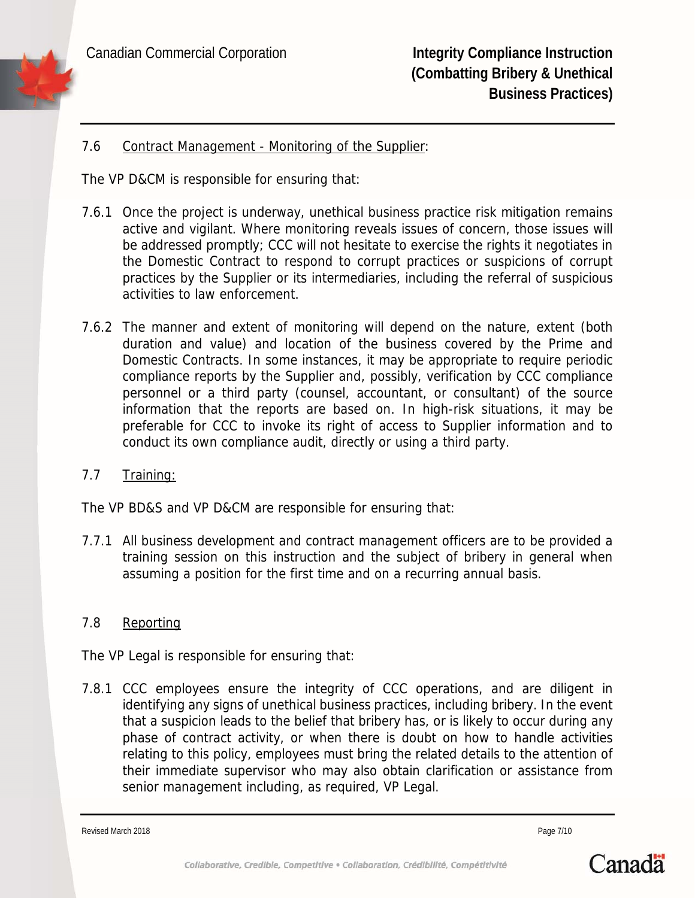#### 7.6 Contract Management - Monitoring of the Supplier:

The VP D&CM is responsible for ensuring that:

- 7.6.1 Once the project is underway, unethical business practice risk mitigation remains active and vigilant. Where monitoring reveals issues of concern, those issues will be addressed promptly; CCC will not hesitate to exercise the rights it negotiates in the Domestic Contract to respond to corrupt practices or suspicions of corrupt practices by the Supplier or its intermediaries, including the referral of suspicious activities to law enforcement.
- 7.6.2 The manner and extent of monitoring will depend on the nature, extent (both duration and value) and location of the business covered by the Prime and Domestic Contracts. In some instances, it may be appropriate to require periodic compliance reports by the Supplier and, possibly, verification by CCC compliance personnel or a third party (counsel, accountant, or consultant) of the source information that the reports are based on. In high-risk situations, it may be preferable for CCC to invoke its right of access to Supplier information and to conduct its own compliance audit, directly or using a third party.
- 7.7 Training:

The VP BD&S and VP D&CM are responsible for ensuring that:

7.7.1 All business development and contract management officers are to be provided a training session on this instruction and the subject of bribery in general when assuming a position for the first time and on a recurring annual basis.

# 7.8 Reporting

The VP Legal is responsible for ensuring that:

7.8.1 CCC employees ensure the integrity of CCC operations, and are diligent in identifying any signs of unethical business practices, including bribery. In the event that a suspicion leads to the belief that bribery has, or is likely to occur during any phase of contract activity, or when there is doubt on how to handle activities relating to this policy, employees must bring the related details to the attention of their immediate supervisor who may also obtain clarification or assistance from senior management including, as required, VP Legal.

Revised March 2018 **Page 7/10** Page 7/10

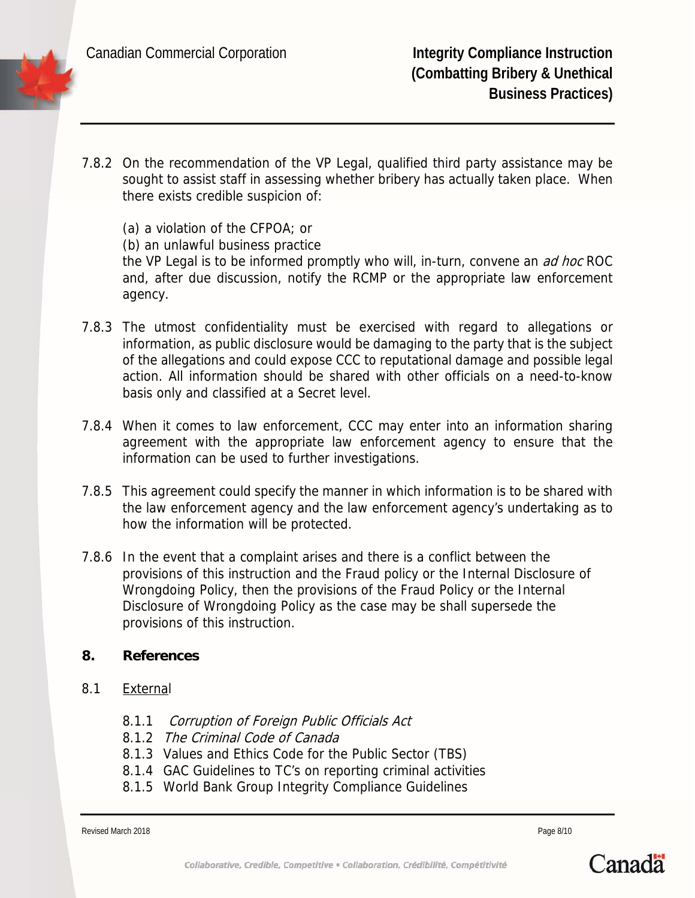- 7.8.2 On the recommendation of the VP Legal, qualified third party assistance may be sought to assist staff in assessing whether bribery has actually taken place. When there exists credible suspicion of:
	- (a) a violation of the CFPOA; or
	- (b) an unlawful business practice

the VP Legal is to be informed promptly who will, in-turn, convene an *ad hoc* ROC and, after due discussion, notify the RCMP or the appropriate law enforcement agency.

- 7.8.3 The utmost confidentiality must be exercised with regard to allegations or information, as public disclosure would be damaging to the party that is the subject of the allegations and could expose CCC to reputational damage and possible legal action. All information should be shared with other officials on a need-to-know basis only and classified at a Secret level.
- 7.8.4 When it comes to law enforcement, CCC may enter into an information sharing agreement with the appropriate law enforcement agency to ensure that the information can be used to further investigations.
- 7.8.5 This agreement could specify the manner in which information is to be shared with the law enforcement agency and the law enforcement agency's undertaking as to how the information will be protected.
- 7.8.6 In the event that a complaint arises and there is a conflict between the provisions of this instruction and the Fraud policy or the Internal Disclosure of Wrongdoing Policy, then the provisions of the Fraud Policy or the Internal Disclosure of Wrongdoing Policy as the case may be shall supersede the provisions of this instruction.

#### **8. References**

- 8.1 External
	- 8.1.1 Corruption of Foreign Public Officials Act
	- 8.1.2 The Criminal Code of Canada
	- 8.1.3 Values and Ethics Code for the Public Sector (TBS)
	- 8.1.4 GAC Guidelines to TC's on reporting criminal activities
	- 8.1.5 World Bank Group Integrity Compliance Guidelines

Revised March 2018 **Page 8/10** 

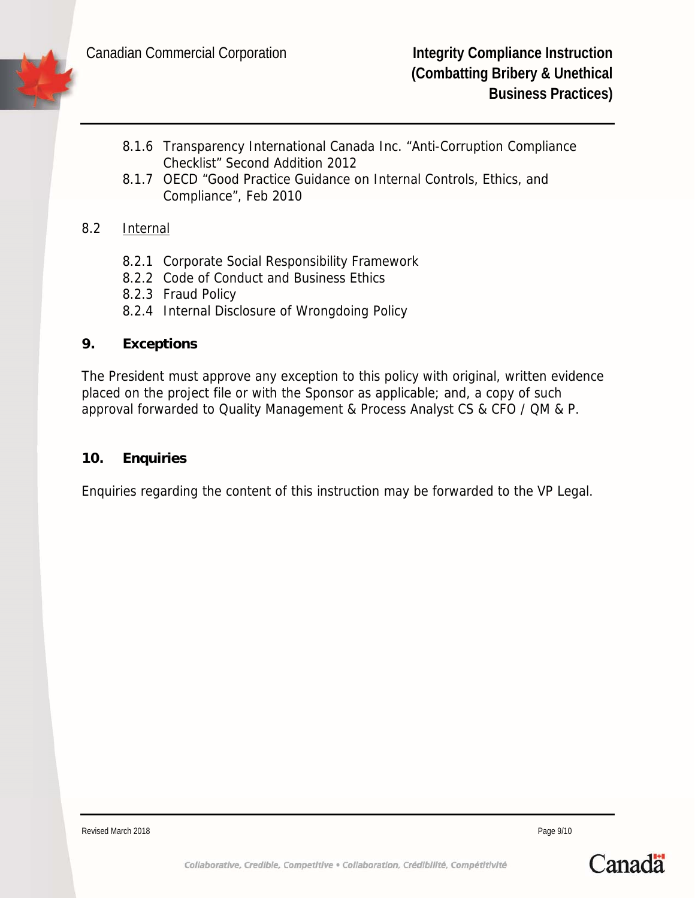- 8.1.6 Transparency International Canada Inc. "Anti-Corruption Compliance Checklist" Second Addition 2012
- 8.1.7 OECD "Good Practice Guidance on Internal Controls, Ethics, and Compliance", Feb 2010

# 8.2 Internal

- 8.2.1 Corporate Social Responsibility Framework
- 8.2.2 Code of Conduct and Business Ethics
- 8.2.3 Fraud Policy
- 8.2.4 Internal Disclosure of Wrongdoing Policy

#### **9. Exceptions**

The President must approve any exception to this policy with original, written evidence placed on the project file or with the Sponsor as applicable; and, a copy of such approval forwarded to Quality Management & Process Analyst CS & CFO / QM & P.

#### **10. Enquiries**

Enquiries regarding the content of this instruction may be forwarded to the VP Legal.